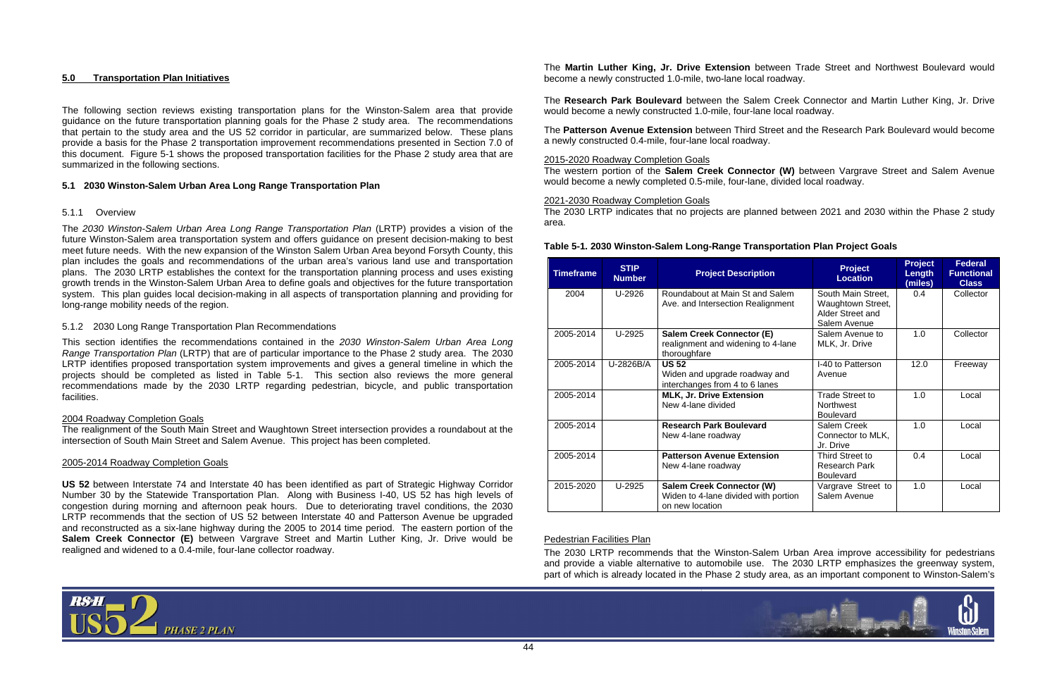

## **5.0 Transportation Plan Initiatives**

The following section reviews existing transportation plans for the Winston-Salem area that provide guidance on the future transportation planning goals for the Phase 2 study area. The recommendations that pertain to the study area and the US 52 corridor in particular, are summarized below. These plans provide a basis for the Phase 2 transportation improvement recommendations presented in Section 7.0 of this document. Figure 5-1 shows the proposed transportation facilities for the Phase 2 study area that are summarized in the following sections.

## **5.1 2030 Winston-Salem Urban Area Long Range Transportation Plan**

## 5.1.1 Overview

The *2030 Winston-Salem Urban Area Long Range Transportation Plan* (LRTP) provides a vision of the future Winston-Salem area transportation system and offers guidance on present decision-making to best meet future needs. With the new expansion of the Winston Salem Urban Area beyond Forsyth County, this plan includes the goals and recommendations of the urban area's various land use and transportation plans. The 2030 LRTP establishes the context for the transportation planning process and uses existing growth trends in the Winston-Salem Urban Area to define goals and objectives for the future transportation system. This plan guides local decision-making in all aspects of transportation planning and providing for long-range mobility needs of the region.

## 5.1.2 2030 Long Range Transportation Plan Recommendations

This section identifies the recommendations contained in the *2030 Winston-Salem Urban Area Long Range Transportation Plan* (LRTP) that are of particular importance to the Phase 2 study area. The 2030 LRTP identifies proposed transportation system improvements and gives a general timeline in which the projects should be completed as listed in Table 5-1. This section also reviews the more general recommendations made by the 2030 LRTP regarding pedestrian, bicycle, and public transportation facilities.

## 2004 Roadway Completion Goals

The realignment of the South Main Street and Waughtown Street intersection provides a roundabout at the intersection of South Main Street and Salem Avenue. This project has been completed.

## 2005-2014 Roadway Completion Goals

**US 52** between Interstate 74 and Interstate 40 has been identified as part of Strategic Highway Corridor Number 30 by the Statewide Transportation Plan. Along with Business I-40, US 52 has high levels of congestion during morning and afternoon peak hours. Due to deteriorating travel conditions, the 2030 LRTP recommends that the section of US 52 between Interstate 40 and Patterson Avenue be upgraded and reconstructed as a six-lane highway during the 2005 to 2014 time period. The eastern portion of the **Salem Creek Connector (E)** between Vargrave Street and Martin Luther King, Jr. Drive would be realigned and widened to a 0.4-mile, four-lane collector roadway.



The **Research Park Boulevard** between the Salem Creek Connector and Martin Luther King, Jr. Drive would become a newly constructed 1.0-mile, four-lane local roadway.

The **Patterson Avenue Extension** between Third Street and the Research Park Boulevard would become a newly constructed 0.4-mile, four-lane local roadway.

#### 2015-2020 Roadway Completion Goals

The western portion of the **Salem Creek Connector (W)** between Vargrave Street and Salem Avenue would become a newly completed 0.5-mile, four-lane, divided local roadway.

#### 2021-2030 Roadway Completion Goals

The 2030 LRTP indicates that no projects are planned between 2021 and 2030 within the Phase 2 study area.

# **Table 5-1. 2030 Winston-Salem Long-Range Transportation Plan Project Goals**

| <b>Timeframe</b> | <b>STIP</b><br><b>Number</b> | <b>Project Description</b>                                                                  | <b>Project</b><br><b>Location</b>                                           | <b>Project</b><br>Length<br>(miles) | <b>Federal</b><br><b>Functional</b><br><b>Class</b> |
|------------------|------------------------------|---------------------------------------------------------------------------------------------|-----------------------------------------------------------------------------|-------------------------------------|-----------------------------------------------------|
| 2004             | U-2926                       | Roundabout at Main St and Salem<br>Ave. and Intersection Realignment                        | South Main Street,<br>Waughtown Street,<br>Alder Street and<br>Salem Avenue | 0.4                                 | Collector                                           |
| 2005-2014        | U-2925                       | <b>Salem Creek Connector (E)</b><br>realignment and widening to 4-lane<br>thoroughfare      | Salem Avenue to<br>MLK, Jr. Drive                                           | 1.0                                 | Collector                                           |
| 2005-2014        | U-2826B/A                    | <b>US 52</b><br>Widen and upgrade roadway and<br>interchanges from 4 to 6 lanes             | I-40 to Patterson<br>Avenue                                                 | 12.0                                | Freeway                                             |
| 2005-2014        |                              | MLK, Jr. Drive Extension<br>New 4-lane divided                                              | Trade Street to<br><b>Northwest</b><br><b>Boulevard</b>                     | 1.0                                 | Local                                               |
| 2005-2014        |                              | <b>Research Park Boulevard</b><br>New 4-lane roadway                                        | Salem Creek<br>Connector to MLK,<br>Jr. Drive                               | 1.0                                 | Local                                               |
| 2005-2014        |                              | <b>Patterson Avenue Extension</b><br>New 4-lane roadway                                     | Third Street to<br>Research Park<br><b>Boulevard</b>                        | 0.4                                 | Local                                               |
| 2015-2020        | U-2925                       | <b>Salem Creek Connector (W)</b><br>Widen to 4-lane divided with portion<br>on new location | Vargrave Street to<br>Salem Avenue                                          | 1.0                                 | Local                                               |

## Pedestrian Facilities Plan

The 2030 LRTP recommends that the Winston-Salem Urban Area improve accessibility for pedestrians and provide a viable alternative to automobile use. The 2030 LRTP emphasizes the greenway system, part of which is already located in the Phase 2 study area, as an important component to Winston-Salem's

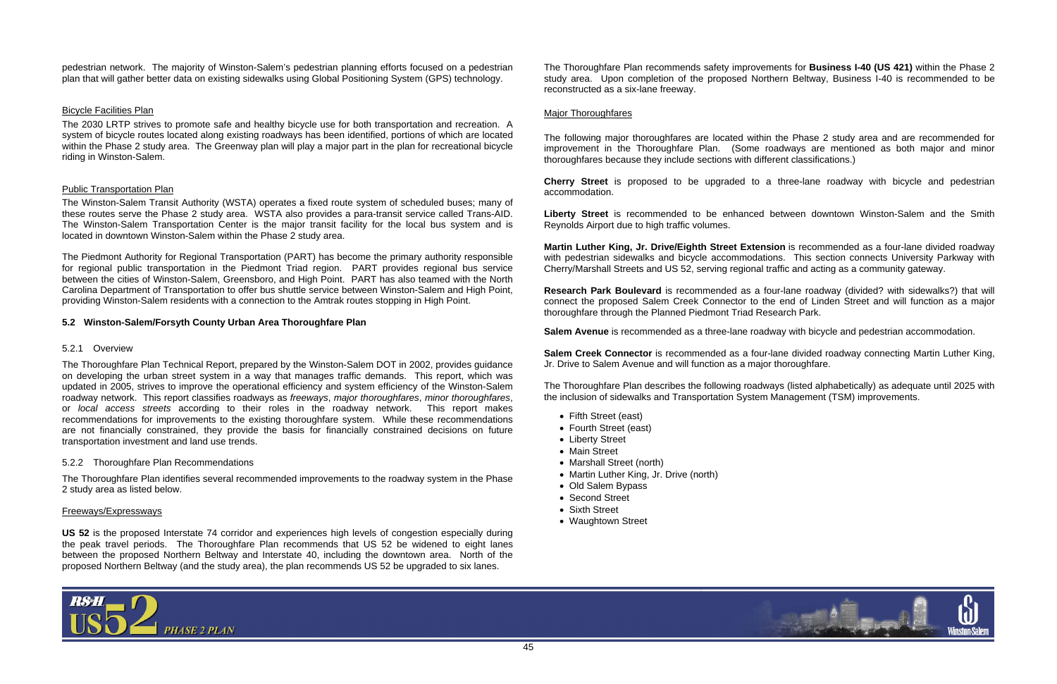

pedestrian network. The majority of Winston-Salem's pedestrian planning efforts focused on a pedestrian plan that will gather better data on existing sidewalks using Global Positioning System (GPS) technology.

# Bicycle Facilities Plan

The 2030 LRTP strives to promote safe and healthy bicycle use for both transportation and recreation. A system of bicycle routes located along existing roadways has been identified, portions of which are located within the Phase 2 study area. The Greenway plan will play a major part in the plan for recreational bicycle riding in Winston-Salem.

# Public Transportation Plan

The Winston-Salem Transit Authority (WSTA) operates a fixed route system of scheduled buses; many of these routes serve the Phase 2 study area. WSTA also provides a para-transit service called Trans-AID. The Winston-Salem Transportation Center is the major transit facility for the local bus system and is located in downtown Winston-Salem within the Phase 2 study area.

The Piedmont Authority for Regional Transportation (PART) has become the primary authority responsible for regional public transportation in the Piedmont Triad region. PART provides regional bus service between the cities of Winston-Salem, Greensboro, and High Point. PART has also teamed with the North Carolina Department of Transportation to offer bus shuttle service between Winston-Salem and High Point, providing Winston-Salem residents with a connection to the Amtrak routes stopping in High Point.

# **5.2 Winston-Salem/Forsyth County Urban Area Thoroughfare Plan**

# 5.2.1 Overview

The Thoroughfare Plan Technical Report, prepared by the Winston-Salem DOT in 2002, provides guidance on developing the urban street system in a way that manages traffic demands. This report, which was updated in 2005, strives to improve the operational efficiency and system efficiency of the Winston-Salem roadway network. This report classifies roadways as *freeways*, *major thoroughfares*, *minor thoroughfares*, or *local access streets* according to their roles in the roadway network. This report makes recommendations for improvements to the existing thoroughfare system. While these recommendations are not financially constrained, they provide the basis for financially constrained decisions on future transportation investment and land use trends.

# 5.2.2 Thoroughfare Plan Recommendations

The Thoroughfare Plan identifies several recommended improvements to the roadway system in the Phase 2 study area as listed below.

# Freeways/Expressways

**US 52** is the proposed Interstate 74 corridor and experiences high levels of congestion especially during the peak travel periods. The Thoroughfare Plan recommends that US 52 be widened to eight lanes between the proposed Northern Beltway and Interstate 40, including the downtown area. North of the proposed Northern Beltway (and the study area), the plan recommends US 52 be upgraded to six lanes.

The Thoroughfare Plan recommends safety improvements for **Business I-40 (US 421)** within the Phase 2 study area. Upon completion of the proposed Northern Beltway, Business I-40 is recommended to be reconstructed as a six-lane freeway.

# Major Thoroughfares

The following major thoroughfares are located within the Phase 2 study area and are recommended for improvement in the Thoroughfare Plan. (Some roadways are mentioned as both major and minor thoroughfares because they include sections with different classifications.)

**Cherry Street** is proposed to be upgraded to a three-lane roadway with bicycle and pedestrian accommodation.

**Liberty Street** is recommended to be enhanced between downtown Winston-Salem and the Smith Reynolds Airport due to high traffic volumes.

**Martin Luther King, Jr. Drive/Eighth Street Extension** is recommended as a four-lane divided roadway with pedestrian sidewalks and bicycle accommodations. This section connects University Parkway with Cherry/Marshall Streets and US 52, serving regional traffic and acting as a community gateway.

**Research Park Boulevard** is recommended as a four-lane roadway (divided? with sidewalks?) that will connect the proposed Salem Creek Connector to the end of Linden Street and will function as a major thoroughfare through the Planned Piedmont Triad Research Park.

**Salem Avenue** is recommended as a three-lane roadway with bicycle and pedestrian accommodation.

**Salem Creek Connector** is recommended as a four-lane divided roadway connecting Martin Luther King, Jr. Drive to Salem Avenue and will function as a major thoroughfare.

The Thoroughfare Plan describes the following roadways (listed alphabetically) as adequate until 2025 with the inclusion of sidewalks and Transportation System Management (TSM) improvements.

- Fifth Street (east)
- Fourth Street (east)
- Liberty Street
- Main Street
- Marshall Street (north)
- Martin Luther King, Jr. Drive (north)
- Old Salem Bypass
- Second Street
- Sixth Street
- Waughtown Street

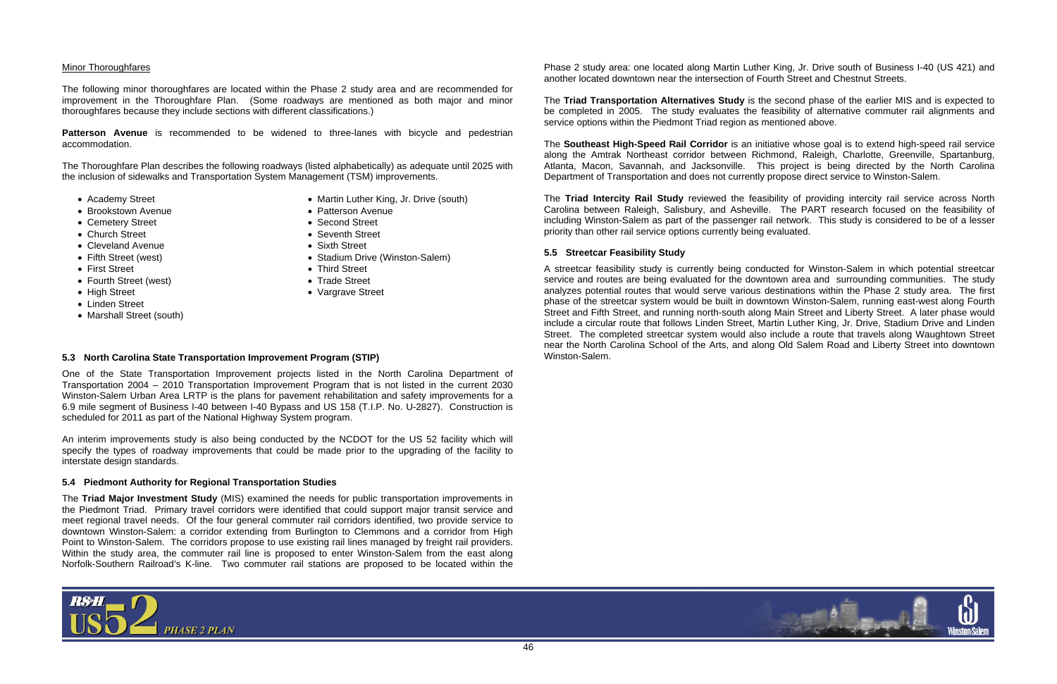

## Minor Thoroughfares

The following minor thoroughfares are located within the Phase 2 study area and are recommended for improvement in the Thoroughfare Plan. (Some roadways are mentioned as both major and minor thoroughfares because they include sections with different classifications.)

**Patterson Avenue** is recommended to be widened to three-lanes with bicycle and pedestrian accommodation.

The Thoroughfare Plan describes the following roadways (listed alphabetically) as adequate until 2025 with the inclusion of sidewalks and Transportation System Management (TSM) improvements.

- Martin Luther King, Jr. Drive (south)
- Patterson Avenue
- Second Street
- Seventh Street
- Sixth Street
- Stadium Drive (Winston-Salem)
- Third Street
- Trade Street
- Vargrave Street
- Academy Street
- Brookstown Avenue
- Cemetery Street
- Church Street
- Cleveland Avenue
- Fifth Street (west)
- First Street
- Fourth Street (west)
- High Street
- Linden Street
- Marshall Street (south)

# **5.3 North Carolina State Transportation Improvement Program (STIP)**

One of the State Transportation Improvement projects listed in the North Carolina Department of Transportation 2004 – 2010 Transportation Improvement Program that is not listed in the current 2030 Winston-Salem Urban Area LRTP is the plans for pavement rehabilitation and safety improvements for a 6.9 mile segment of Business I-40 between I-40 Bypass and US 158 (T.I.P. No. U-2827). Construction is scheduled for 2011 as part of the National Highway System program.

An interim improvements study is also being conducted by the NCDOT for the US 52 facility which will specify the types of roadway improvements that could be made prior to the upgrading of the facility to interstate design standards.

## **5.4 Piedmont Authority for Regional Transportation Studies**

The **Triad Major Investment Study** (MIS) examined the needs for public transportation improvements in the Piedmont Triad. Primary travel corridors were identified that could support major transit service and meet regional travel needs. Of the four general commuter rail corridors identified, two provide service to downtown Winston-Salem: a corridor extending from Burlington to Clemmons and a corridor from High Point to Winston-Salem. The corridors propose to use existing rail lines managed by freight rail providers. Within the study area, the commuter rail line is proposed to enter Winston-Salem from the east along Norfolk-Southern Railroad's K-line. Two commuter rail stations are proposed to be located within the



The **Triad Transportation Alternatives Study** is the second phase of the earlier MIS and is expected to be completed in 2005. The study evaluates the feasibility of alternative commuter rail alignments and service options within the Piedmont Triad region as mentioned above.

The **Southeast High-Speed Rail Corridor** is an initiative whose goal is to extend high-speed rail service along the Amtrak Northeast corridor between Richmond, Raleigh, Charlotte, Greenville, Spartanburg, Atlanta, Macon, Savannah, and Jacksonville. This project is being directed by the North Carolina Department of Transportation and does not currently propose direct service to Winston-Salem.

The **Triad Intercity Rail Study** reviewed the feasibility of providing intercity rail service across North Carolina between Raleigh, Salisbury, and Asheville. The PART research focused on the feasibility of including Winston-Salem as part of the passenger rail network. This study is considered to be of a lesser priority than other rail service options currently being evaluated.

# **5.5 Streetcar Feasibility Study**

A streetcar feasibility study is currently being conducted for Winston-Salem in which potential streetcar service and routes are being evaluated for the downtown area and surrounding communities. The study analyzes potential routes that would serve various destinations within the Phase 2 study area. The first phase of the streetcar system would be built in downtown Winston-Salem, running east-west along Fourth Street and Fifth Street, and running north-south along Main Street and Liberty Street. A later phase would include a circular route that follows Linden Street, Martin Luther King, Jr. Drive, Stadium Drive and Linden Street. The completed streetcar system would also include a route that travels along Waughtown Street near the North Carolina School of the Arts, and along Old Salem Road and Liberty Street into downtown Winston-Salem.

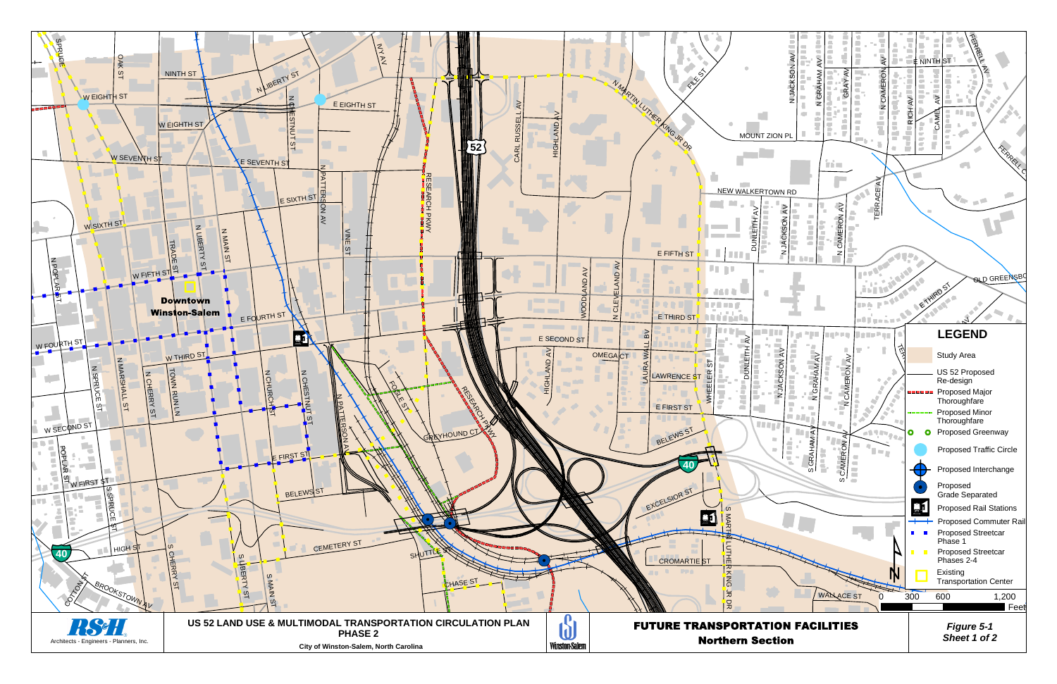